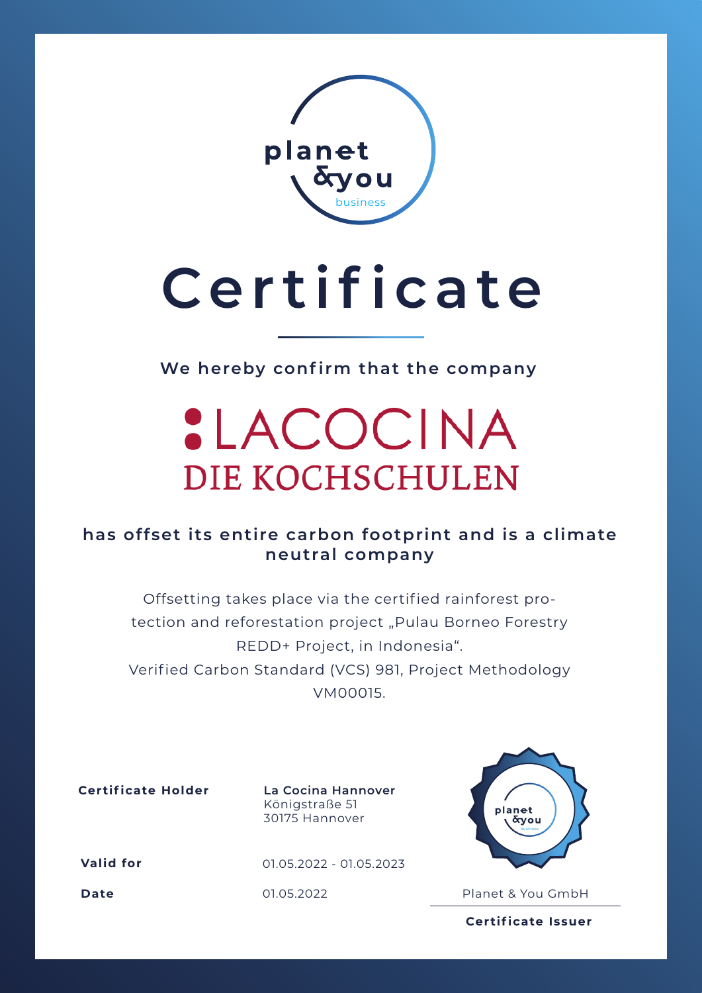

# **Certificate**

**We hereby confirm that the company**

### **:LACOCINA** DIE KOCHSCHULEN

#### **has offset its entire carbon footprint and is a climate neutral company**

Offsetting takes place via the certified rainforest protection and reforestation project "Pulau Borneo Forestry REDD+ Project, in Indonesia". Verified Carbon Standard (VCS) 981, Project Methodology VM00015.

**Certificate Holder La Cocina Hannover**

Königstraße 51 30175 Hannover

**Valid for**

01.05.2022 - 01.05.2023



**Date** 01.05.2022 Planet & You GmbH

**Certificate Issuer**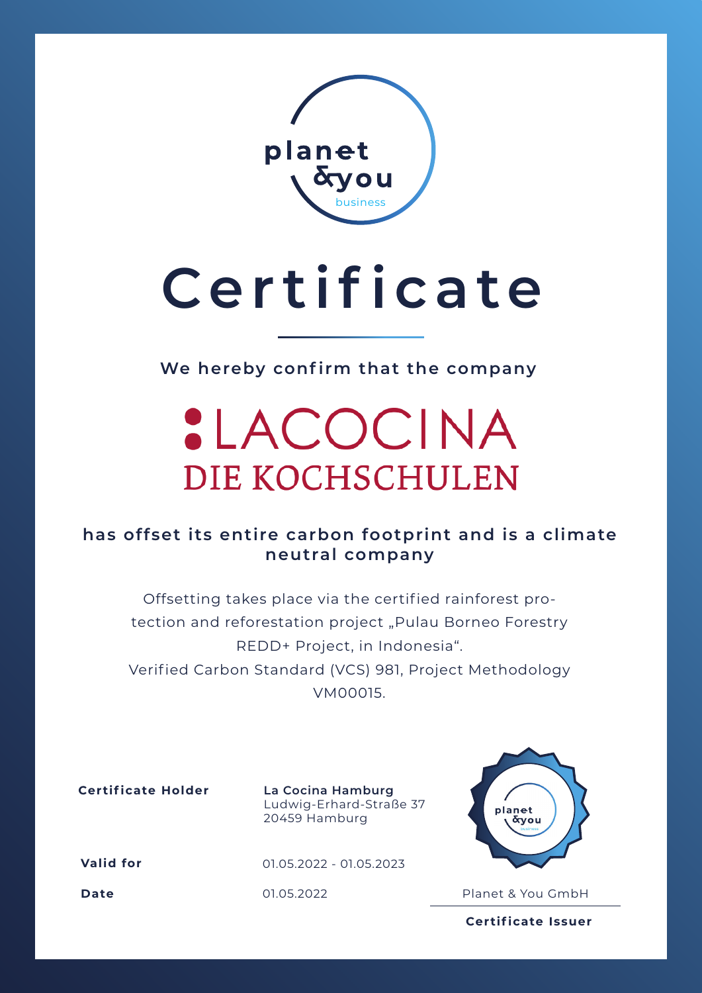

# **Certificate**

**We hereby confirm that the company**

### **:LACOCINA** DIE KOCHSCHULEN

#### **has offset its entire carbon footprint and is a climate neutral company**

Offsetting takes place via the certified rainforest protection and reforestation project "Pulau Borneo Forestry REDD+ Project, in Indonesia". Verified Carbon Standard (VCS) 981, Project Methodology VM00015.

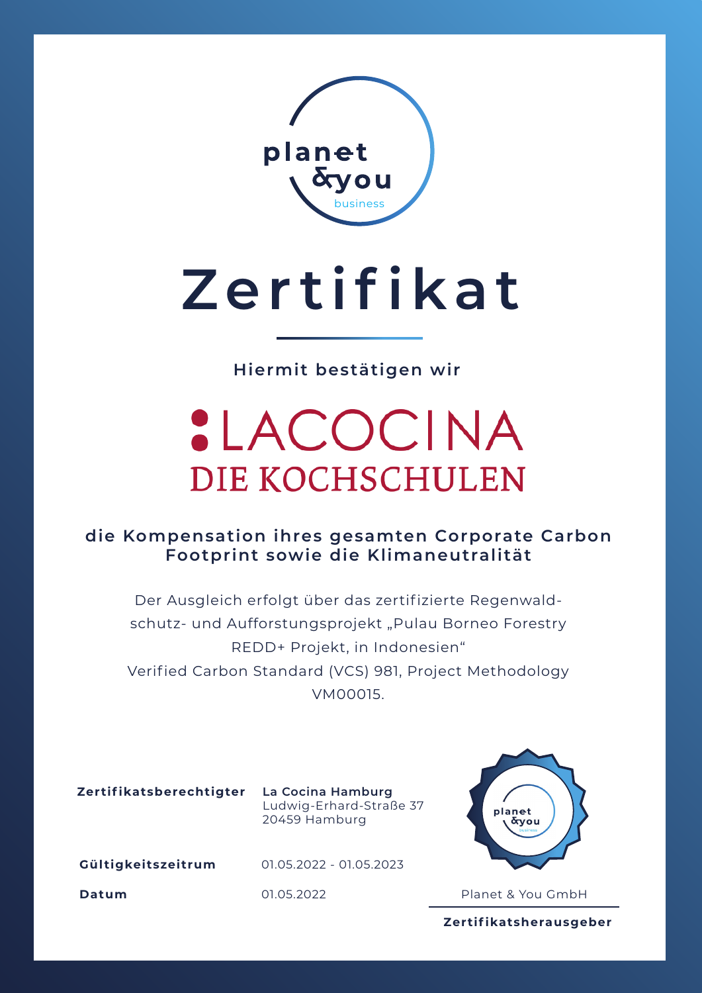

# **Zertifikat**

**Hiermit bestätigen wir**

### **:LACOCINA** DIE KOCHSCHULEN

**die Kompensation ihres gesamten Corporate Carbon Footprint sowie die Klimaneutralität**

Der Ausgleich erfolgt über das zertifizierte Regenwaldschutz- und Aufforstungsprojekt "Pulau Borneo Forestry REDD+ Projekt, in Indonesien" Verified Carbon Standard (VCS) 981, Project Methodology VM00015.